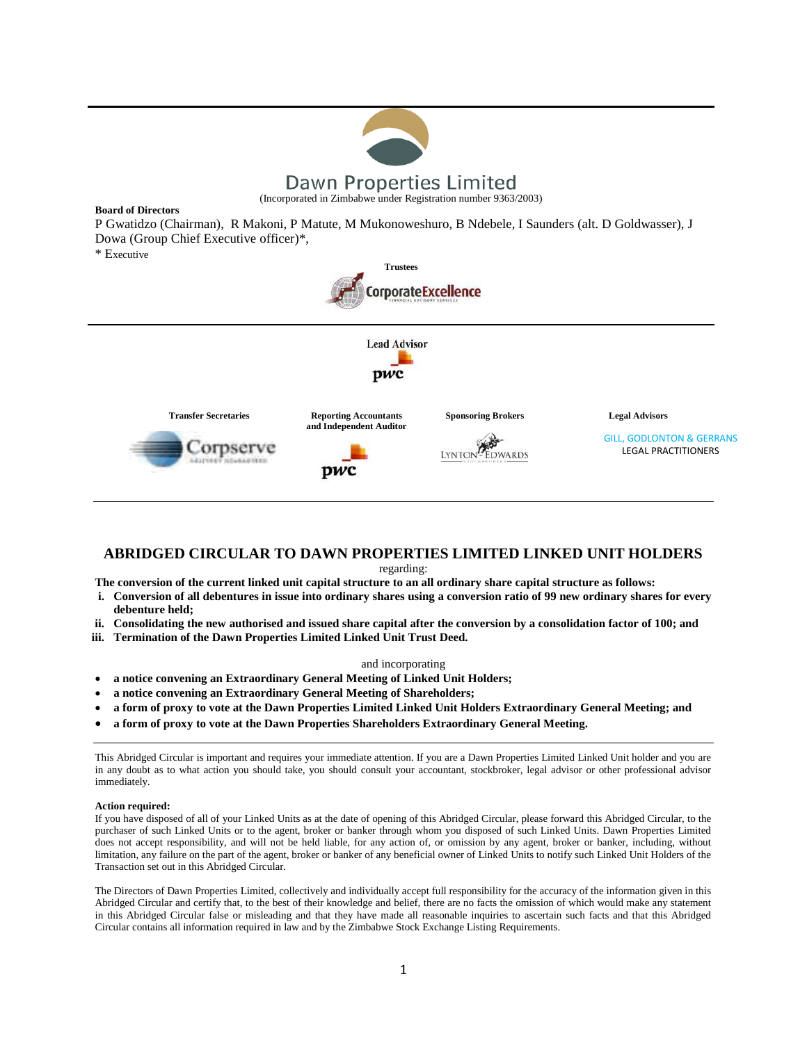

**Board of Directors**

P Gwatidzo (Chairman), R Makoni, P Matute, M Mukonoweshuro, B Ndebele, I Saunders (alt. D Goldwasser), J Dowa (Group Chief Executive officer)\*,

\* Executive



## **ABRIDGED CIRCULAR TO DAWN PROPERTIES LIMITED LINKED UNIT HOLDERS**

regarding:

**The conversion of the current linked unit capital structure to an all ordinary share capital structure as follows:**

- **i. Conversion of all debentures in issue into ordinary shares using a conversion ratio of 99 new ordinary shares for every debenture held;**
- **ii. Consolidating the new authorised and issued share capital after the conversion by a consolidation factor of 100; and**
- **iii. Termination of the Dawn Properties Limited Linked Unit Trust Deed.**

#### and incorporating

- **a notice convening an Extraordinary General Meeting of Linked Unit Holders;**
- **a notice convening an Extraordinary General Meeting of Shareholders;**
- **a form of proxy to vote at the Dawn Properties Limited Linked Unit Holders Extraordinary General Meeting; and**
- **a form of proxy to vote at the Dawn Properties Shareholders Extraordinary General Meeting.**

This Abridged Circular is important and requires your immediate attention. If you are a Dawn Properties Limited Linked Unit holder and you are in any doubt as to what action you should take, you should consult your accountant, stockbroker, legal advisor or other professional advisor immediately.

#### **Action required:**

If you have disposed of all of your Linked Units as at the date of opening of this Abridged Circular, please forward this Abridged Circular, to the purchaser of such Linked Units or to the agent, broker or banker through whom you disposed of such Linked Units. Dawn Properties Limited does not accept responsibility, and will not be held liable, for any action of, or omission by any agent, broker or banker, including, without limitation, any failure on the part of the agent, broker or banker of any beneficial owner of Linked Units to notify such Linked Unit Holders of the Transaction set out in this Abridged Circular.

The Directors of Dawn Properties Limited, collectively and individually accept full responsibility for the accuracy of the information given in this Abridged Circular and certify that, to the best of their knowledge and belief, there are no facts the omission of which would make any statement in this Abridged Circular false or misleading and that they have made all reasonable inquiries to ascertain such facts and that this Abridged Circular contains all information required in law and by the Zimbabwe Stock Exchange Listing Requirements.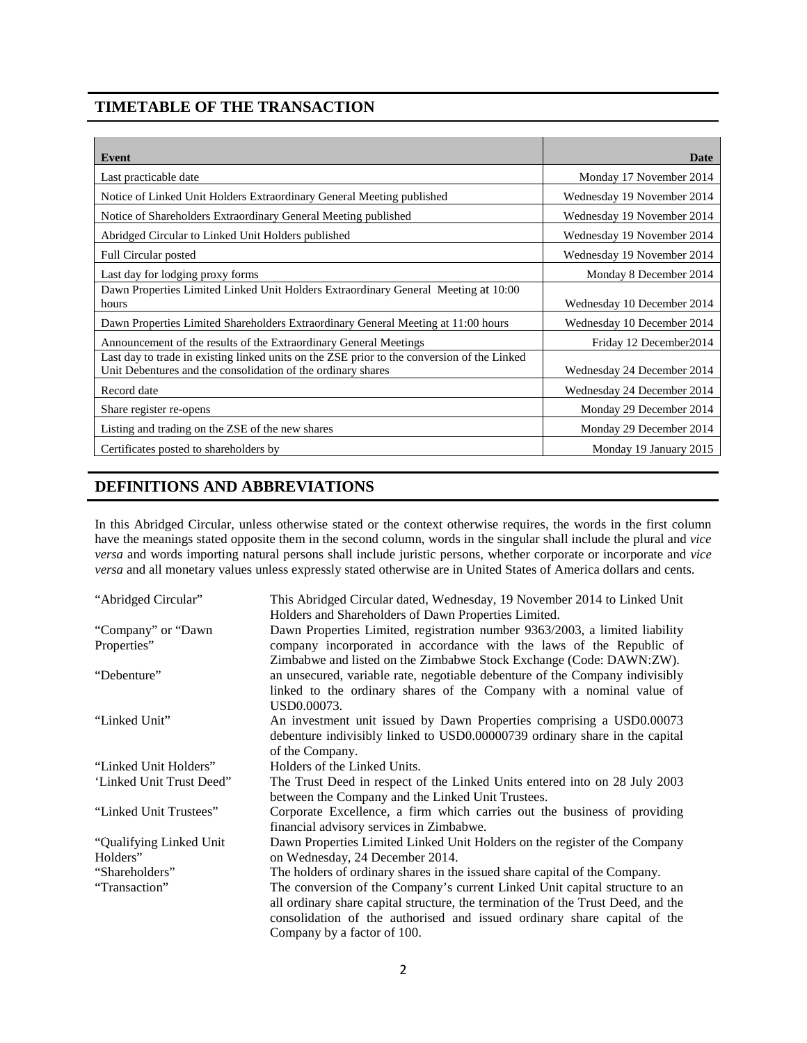## **TIMETABLE OF THE TRANSACTION**

| Event                                                                                                                                                       | <b>Date</b>                |
|-------------------------------------------------------------------------------------------------------------------------------------------------------------|----------------------------|
| Last practicable date                                                                                                                                       | Monday 17 November 2014    |
| Notice of Linked Unit Holders Extraordinary General Meeting published                                                                                       | Wednesday 19 November 2014 |
| Notice of Shareholders Extraordinary General Meeting published                                                                                              | Wednesday 19 November 2014 |
| Abridged Circular to Linked Unit Holders published                                                                                                          | Wednesday 19 November 2014 |
| Full Circular posted                                                                                                                                        | Wednesday 19 November 2014 |
| Last day for lodging proxy forms                                                                                                                            | Monday 8 December 2014     |
| Dawn Properties Limited Linked Unit Holders Extraordinary General Meeting at 10:00<br>hours                                                                 | Wednesday 10 December 2014 |
| Dawn Properties Limited Shareholders Extraordinary General Meeting at 11:00 hours                                                                           | Wednesday 10 December 2014 |
| Announcement of the results of the Extraordinary General Meetings                                                                                           | Friday 12 December 2014    |
| Last day to trade in existing linked units on the ZSE prior to the conversion of the Linked<br>Unit Debentures and the consolidation of the ordinary shares | Wednesday 24 December 2014 |
| Record date                                                                                                                                                 | Wednesday 24 December 2014 |
| Share register re-opens                                                                                                                                     | Monday 29 December 2014    |
| Listing and trading on the ZSE of the new shares                                                                                                            | Monday 29 December 2014    |
| Certificates posted to shareholders by                                                                                                                      | Monday 19 January 2015     |

## **DEFINITIONS AND ABBREVIATIONS**

In this Abridged Circular, unless otherwise stated or the context otherwise requires, the words in the first column have the meanings stated opposite them in the second column, words in the singular shall include the plural and *vice versa* and words importing natural persons shall include juristic persons, whether corporate or incorporate and *vice versa* and all monetary values unless expressly stated otherwise are in United States of America dollars and cents.

| "Abridged Circular"      | This Abridged Circular dated, Wednesday, 19 November 2014 to Linked Unit                                                                                                                                                                                                   |
|--------------------------|----------------------------------------------------------------------------------------------------------------------------------------------------------------------------------------------------------------------------------------------------------------------------|
|                          | Holders and Shareholders of Dawn Properties Limited.                                                                                                                                                                                                                       |
| "Company" or "Dawn"      | Dawn Properties Limited, registration number 9363/2003, a limited liability                                                                                                                                                                                                |
| Properties"              | company incorporated in accordance with the laws of the Republic of<br>Zimbabwe and listed on the Zimbabwe Stock Exchange (Code: DAWN:ZW).                                                                                                                                 |
| "Debenture"              | an unsecured, variable rate, negotiable debenture of the Company indivisibly<br>linked to the ordinary shares of the Company with a nominal value of<br>USD0.00073.                                                                                                        |
| "Linked Unit"            | An investment unit issued by Dawn Properties comprising a USD0.00073<br>debenture indivisibly linked to USD0.00000739 ordinary share in the capital<br>of the Company.                                                                                                     |
| "Linked Unit Holders"    | Holders of the Linked Units.                                                                                                                                                                                                                                               |
| 'Linked Unit Trust Deed" | The Trust Deed in respect of the Linked Units entered into on 28 July 2003<br>between the Company and the Linked Unit Trustees.                                                                                                                                            |
| "Linked Unit Trustees"   | Corporate Excellence, a firm which carries out the business of providing<br>financial advisory services in Zimbabwe.                                                                                                                                                       |
| "Qualifying Linked Unit  | Dawn Properties Limited Linked Unit Holders on the register of the Company                                                                                                                                                                                                 |
| Holders"                 | on Wednesday, 24 December 2014.                                                                                                                                                                                                                                            |
| "Shareholders"           | The holders of ordinary shares in the issued share capital of the Company.                                                                                                                                                                                                 |
| "Transaction"            | The conversion of the Company's current Linked Unit capital structure to an<br>all ordinary share capital structure, the termination of the Trust Deed, and the<br>consolidation of the authorised and issued ordinary share capital of the<br>Company by a factor of 100. |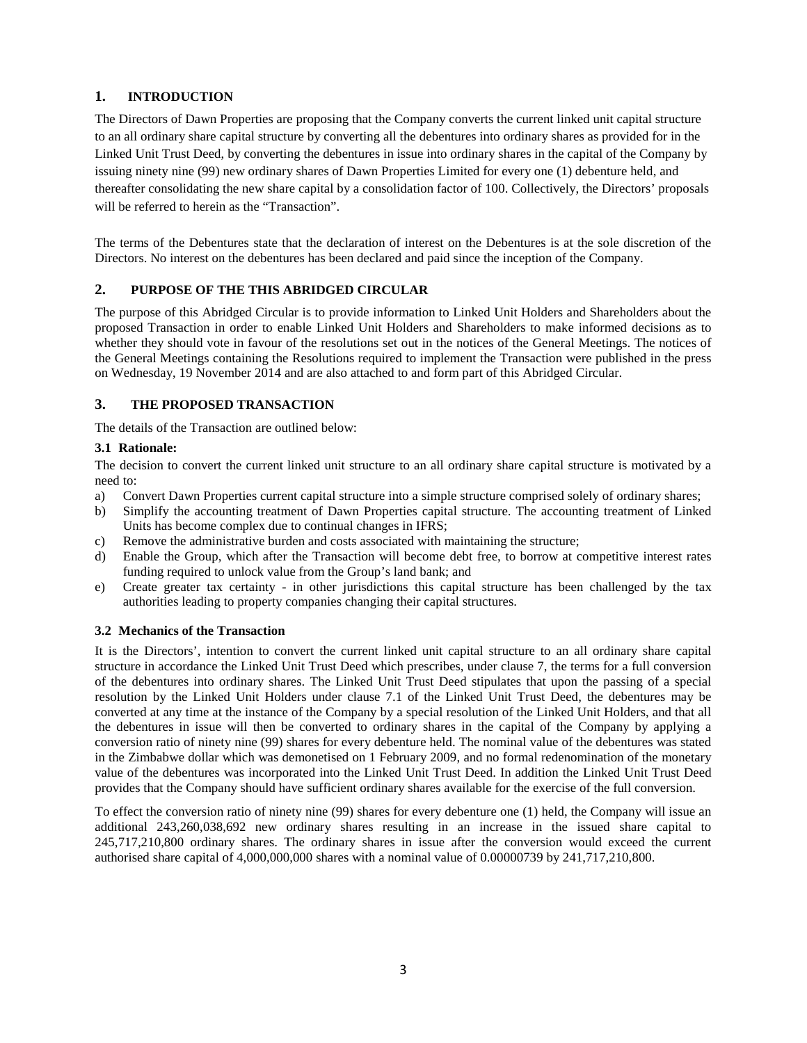## **1. INTRODUCTION**

The Directors of Dawn Properties are proposing that the Company converts the current linked unit capital structure to an all ordinary share capital structure by converting all the debentures into ordinary shares as provided for in the Linked Unit Trust Deed, by converting the debentures in issue into ordinary shares in the capital of the Company by issuing ninety nine (99) new ordinary shares of Dawn Properties Limited for every one (1) debenture held, and thereafter consolidating the new share capital by a consolidation factor of 100. Collectively, the Directors' proposals will be referred to herein as the "Transaction".

The terms of the Debentures state that the declaration of interest on the Debentures is at the sole discretion of the Directors. No interest on the debentures has been declared and paid since the inception of the Company.

## **2. PURPOSE OF THE THIS ABRIDGED CIRCULAR**

The purpose of this Abridged Circular is to provide information to Linked Unit Holders and Shareholders about the proposed Transaction in order to enable Linked Unit Holders and Shareholders to make informed decisions as to whether they should vote in favour of the resolutions set out in the notices of the General Meetings. The notices of the General Meetings containing the Resolutions required to implement the Transaction were published in the press on Wednesday, 19 November 2014 and are also attached to and form part of this Abridged Circular.

### **3. THE PROPOSED TRANSACTION**

The details of the Transaction are outlined below:

### **3.1 Rationale:**

The decision to convert the current linked unit structure to an all ordinary share capital structure is motivated by a need to:

- a) Convert Dawn Properties current capital structure into a simple structure comprised solely of ordinary shares;
- b) Simplify the accounting treatment of Dawn Properties capital structure. The accounting treatment of Linked Units has become complex due to continual changes in IFRS;
- c) Remove the administrative burden and costs associated with maintaining the structure;
- d) Enable the Group, which after the Transaction will become debt free, to borrow at competitive interest rates funding required to unlock value from the Group's land bank; and
- e) Create greater tax certainty in other jurisdictions this capital structure has been challenged by the tax authorities leading to property companies changing their capital structures.

### **3.2 Mechanics of the Transaction**

It is the Directors', intention to convert the current linked unit capital structure to an all ordinary share capital structure in accordance the Linked Unit Trust Deed which prescribes, under clause 7, the terms for a full conversion of the debentures into ordinary shares. The Linked Unit Trust Deed stipulates that upon the passing of a special resolution by the Linked Unit Holders under clause 7.1 of the Linked Unit Trust Deed, the debentures may be converted at any time at the instance of the Company by a special resolution of the Linked Unit Holders, and that all the debentures in issue will then be converted to ordinary shares in the capital of the Company by applying a conversion ratio of ninety nine (99) shares for every debenture held. The nominal value of the debentures was stated in the Zimbabwe dollar which was demonetised on 1 February 2009, and no formal redenomination of the monetary value of the debentures was incorporated into the Linked Unit Trust Deed. In addition the Linked Unit Trust Deed provides that the Company should have sufficient ordinary shares available for the exercise of the full conversion.

To effect the conversion ratio of ninety nine (99) shares for every debenture one (1) held, the Company will issue an additional 243,260,038,692 new ordinary shares resulting in an increase in the issued share capital to 245,717,210,800 ordinary shares. The ordinary shares in issue after the conversion would exceed the current authorised share capital of 4,000,000,000 shares with a nominal value of 0.00000739 by 241,717,210,800.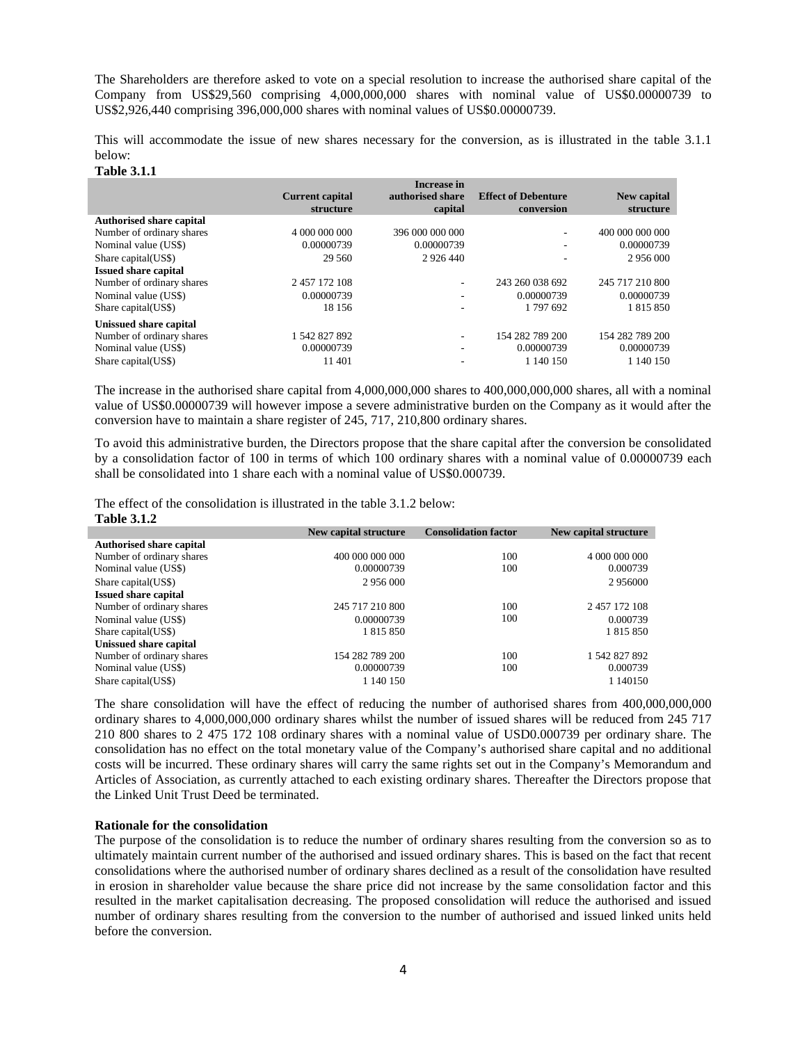The Shareholders are therefore asked to vote on a special resolution to increase the authorised share capital of the Company from US\$29,560 comprising 4,000,000,000 shares with nominal value of US\$0.00000739 to US\$2,926,440 comprising 396,000,000 shares with nominal values of US\$0.00000739.

This will accommodate the issue of new shares necessary for the conversion, as is illustrated in the table 3.1.1 below:

#### **Table 3.1.1**

**Table 3.1.2**

|                                 |                        | <b>Increase in</b> |                            |                 |
|---------------------------------|------------------------|--------------------|----------------------------|-----------------|
|                                 | <b>Current capital</b> | authorised share   | <b>Effect of Debenture</b> | New capital     |
|                                 | structure              | capital            | conversion                 | structure       |
| <b>Authorised share capital</b> |                        |                    |                            |                 |
| Number of ordinary shares       | 4 000 000 000          | 396 000 000 000    |                            | 400 000 000 000 |
| Nominal value (US\$)            | 0.00000739             | 0.00000739         |                            | 0.00000739      |
| Share capital (US\$)            | 29 5 60                | 2 9 2 6 4 4 0      |                            | 2 956 000       |
| <b>Issued share capital</b>     |                        |                    |                            |                 |
| Number of ordinary shares       | 2 457 172 108          | ۰                  | 243 260 038 692            | 245 717 210 800 |
| Nominal value (US\$)            | 0.00000739             | ٠                  | 0.00000739                 | 0.00000739      |
| Share capital (US\$)            | 18 15 6                |                    | 1 797 692                  | 1 815 850       |
| Unissued share capital          |                        |                    |                            |                 |
| Number of ordinary shares       | 1542827892             |                    | 154 282 789 200            | 154 282 789 200 |
| Nominal value (US\$)            | 0.00000739             | ٠                  | 0.00000739                 | 0.00000739      |
| Share capital (US\$)            | 11 401                 |                    | 1 140 150                  | 1 140 150       |

The increase in the authorised share capital from 4,000,000,000 shares to 400,000,000,000 shares, all with a nominal value of US\$0.00000739 will however impose a severe administrative burden on the Company as it would after the conversion have to maintain a share register of 245, 717, 210,800 ordinary shares.

To avoid this administrative burden, the Directors propose that the share capital after the conversion be consolidated by a consolidation factor of 100 in terms of which 100 ordinary shares with a nominal value of 0.00000739 each shall be consolidated into 1 share each with a nominal value of US\$0.000739.

The effect of the consolidation is illustrated in the table 3.1.2 below:

| .                               |                       |                             |                       |
|---------------------------------|-----------------------|-----------------------------|-----------------------|
|                                 | New capital structure | <b>Consolidation factor</b> | New capital structure |
| <b>Authorised share capital</b> |                       |                             |                       |
| Number of ordinary shares       | 400 000 000 000       | 100                         | 4 000 000 000         |
| Nominal value (US\$)            | 0.00000739            | 100                         | 0.000739              |
| Share capital (US\$)            | 2 956 000             |                             | 2956000               |
| <b>Issued share capital</b>     |                       |                             |                       |
| Number of ordinary shares       | 245 717 210 800       | 100                         | 2 457 172 108         |
| Nominal value (US\$)            | 0.00000739            | 100                         | 0.000739              |
| Share capital (US\$)            | 1 815 850             |                             | 1815850               |
| Unissued share capital          |                       |                             |                       |
| Number of ordinary shares       | 154 282 789 200       | 100                         | 1 542 827 892         |
| Nominal value (US\$)            | 0.00000739            | 100                         | 0.000739              |
| Share capital (US\$)            | 1 140 150             |                             | 1 140150              |
|                                 |                       |                             |                       |

The share consolidation will have the effect of reducing the number of authorised shares from 400,000,000,000 ordinary shares to 4,000,000,000 ordinary shares whilst the number of issued shares will be reduced from 245 717 210 800 shares to 2 475 172 108 ordinary shares with a nominal value of USD0.000739 per ordinary share. The consolidation has no effect on the total monetary value of the Company's authorised share capital and no additional costs will be incurred. These ordinary shares will carry the same rights set out in the Company's Memorandum and Articles of Association, as currently attached to each existing ordinary shares. Thereafter the Directors propose that the Linked Unit Trust Deed be terminated.

#### **Rationale for the consolidation**

The purpose of the consolidation is to reduce the number of ordinary shares resulting from the conversion so as to ultimately maintain current number of the authorised and issued ordinary shares. This is based on the fact that recent consolidations where the authorised number of ordinary shares declined as a result of the consolidation have resulted in erosion in shareholder value because the share price did not increase by the same consolidation factor and this resulted in the market capitalisation decreasing. The proposed consolidation will reduce the authorised and issued number of ordinary shares resulting from the conversion to the number of authorised and issued linked units held before the conversion.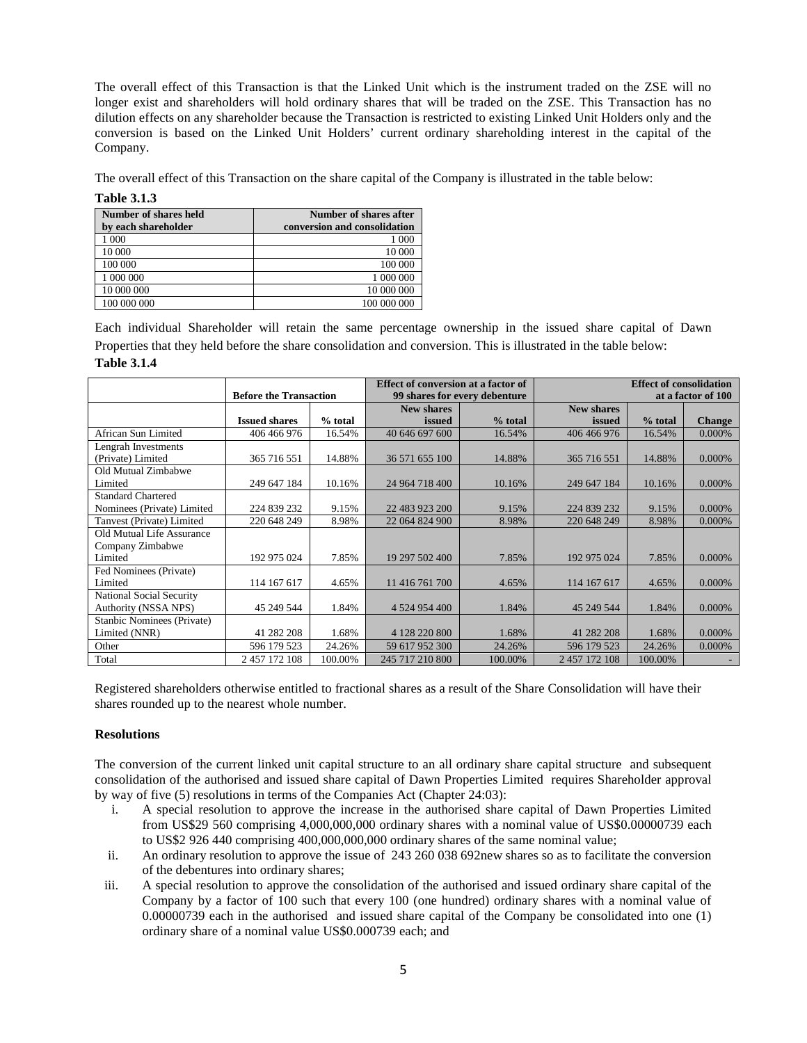The overall effect of this Transaction is that the Linked Unit which is the instrument traded on the ZSE will no longer exist and shareholders will hold ordinary shares that will be traded on the ZSE. This Transaction has no dilution effects on any shareholder because the Transaction is restricted to existing Linked Unit Holders only and the conversion is based on the Linked Unit Holders' current ordinary shareholding interest in the capital of the Company.

The overall effect of this Transaction on the share capital of the Company is illustrated in the table below:

**Table 3.1.3**

| Number of shares held<br>by each shareholder | Number of shares after<br>conversion and consolidation |
|----------------------------------------------|--------------------------------------------------------|
| 1 000                                        | 1 000                                                  |
| 10 000                                       | 10 000                                                 |
| 100 000                                      | 100 000                                                |
| 1 000 000                                    | 1 000 000                                              |
| 10 000 000                                   | 10 000 000                                             |
| 100 000 000                                  | 100 000 000                                            |

Each individual Shareholder will retain the same percentage ownership in the issued share capital of Dawn Properties that they held before the share consolidation and conversion. This is illustrated in the table below:

| <b>Table 3.1.4</b> |  |
|--------------------|--|
|--------------------|--|

|                            |                               |         | Effect of conversion at a factor of |         |                    | <b>Effect of consolidation</b> |               |
|----------------------------|-------------------------------|---------|-------------------------------------|---------|--------------------|--------------------------------|---------------|
|                            | <b>Before the Transaction</b> |         | 99 shares for every debenture       |         | at a factor of 100 |                                |               |
|                            |                               |         | <b>New shares</b>                   |         | <b>New shares</b>  |                                |               |
|                            | <b>Issued shares</b>          | % total | issued                              | % total | issued             | % total                        | <b>Change</b> |
| African Sun Limited        | 406 466 976                   | 16.54%  | 40 646 697 600                      | 16.54%  | 406 466 976        | 16.54%                         | $0.000\%$     |
| Lengrah Investments        |                               |         |                                     |         |                    |                                |               |
| (Private) Limited          | 365 716 551                   | 14.88%  | 36 571 655 100                      | 14.88%  | 365 716 551        | 14.88%                         | 0.000%        |
| Old Mutual Zimbabwe        |                               |         |                                     |         |                    |                                |               |
| Limited                    | 249 647 184                   | 10.16%  | 24 964 718 400                      | 10.16%  | 249 647 184        | 10.16%                         | 0.000%        |
| <b>Standard Chartered</b>  |                               |         |                                     |         |                    |                                |               |
| Nominees (Private) Limited | 224 839 232                   | 9.15%   | 22 483 923 200                      | 9.15%   | 224 839 232        | 9.15%                          | 0.000%        |
| Tanvest (Private) Limited  | 220 648 249                   | 8.98%   | 22 064 824 900                      | 8.98%   | 220 648 249        | 8.98%                          | 0.000%        |
| Old Mutual Life Assurance  |                               |         |                                     |         |                    |                                |               |
| Company Zimbabwe           |                               |         |                                     |         |                    |                                |               |
| Limited                    | 192 975 024                   | 7.85%   | 19 297 502 400                      | 7.85%   | 192 975 024        | 7.85%                          | 0.000%        |
| Fed Nominees (Private)     |                               |         |                                     |         |                    |                                |               |
| Limited                    | 114 167 617                   | 4.65%   | 11 416 761 700                      | 4.65%   | 114 167 617        | 4.65%                          | 0.000%        |
| National Social Security   |                               |         |                                     |         |                    |                                |               |
| Authority (NSSA NPS)       | 45 249 544                    | 1.84%   | 4 5 24 9 54 4 00                    | 1.84%   | 45 249 544         | 1.84%                          | 0.000%        |
| Stanbic Nominees (Private) |                               |         |                                     |         |                    |                                |               |
| Limited (NNR)              | 41 282 208                    | 1.68%   | 4 128 220 800                       | 1.68%   | 41 282 208         | 1.68%                          | 0.000%        |
| Other                      | 596 179 523                   | 24.26%  | 59 617 952 300                      | 24.26%  | 596 179 523        | 24.26%                         | 0.000%        |
| Total                      | 2 457 172 108                 | 100.00% | 245 717 210 800                     | 100.00% | 2 457 172 108      | 100.00%                        |               |

Registered shareholders otherwise entitled to fractional shares as a result of the Share Consolidation will have their shares rounded up to the nearest whole number.

#### **Resolutions**

The conversion of the current linked unit capital structure to an all ordinary share capital structure and subsequent consolidation of the authorised and issued share capital of Dawn Properties Limited requires Shareholder approval by way of five (5) resolutions in terms of the Companies Act (Chapter 24:03):

- i. A special resolution to approve the increase in the authorised share capital of Dawn Properties Limited from US\$29 560 comprising 4,000,000,000 ordinary shares with a nominal value of US\$0.00000739 each to US\$2 926 440 comprising 400,000,000,000 ordinary shares of the same nominal value;
- ii. An ordinary resolution to approve the issue of 243 260 038 692new shares so as to facilitate the conversion of the debentures into ordinary shares;
- iii. A special resolution to approve the consolidation of the authorised and issued ordinary share capital of the Company by a factor of 100 such that every 100 (one hundred) ordinary shares with a nominal value of 0.00000739 each in the authorised and issued share capital of the Company be consolidated into one (1) ordinary share of a nominal value US\$0.000739 each; and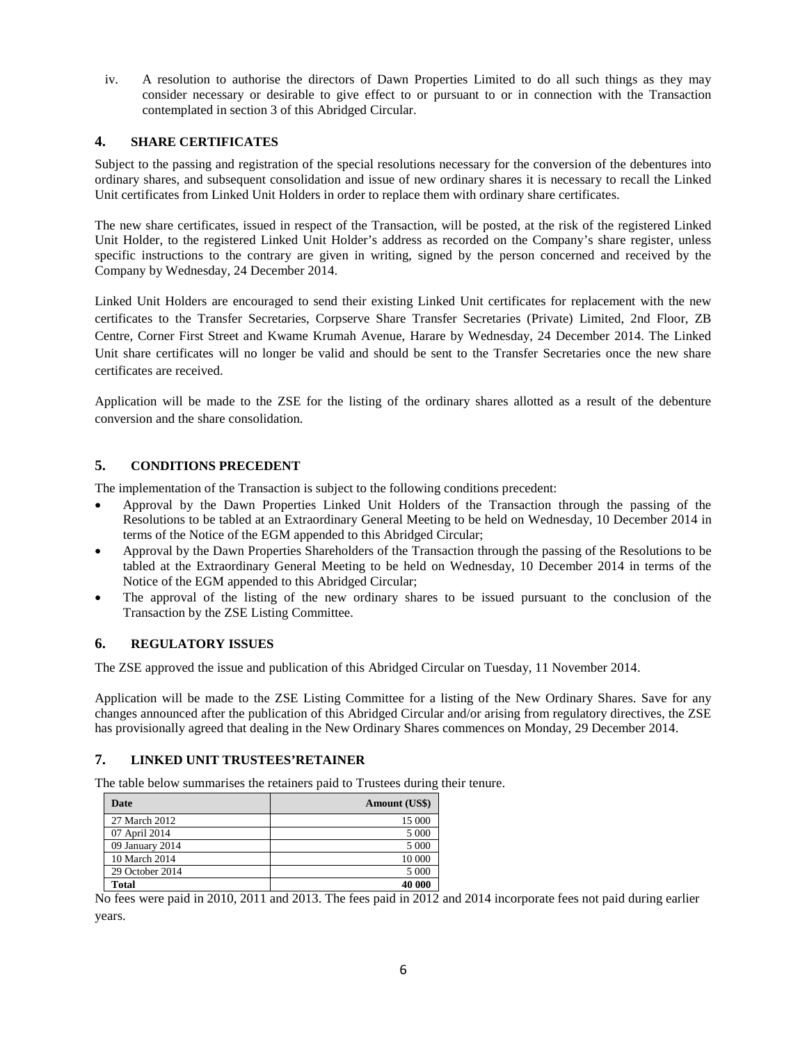iv. A resolution to authorise the directors of Dawn Properties Limited to do all such things as they may consider necessary or desirable to give effect to or pursuant to or in connection with the Transaction contemplated in section 3 of this Abridged Circular.

## **4. SHARE CERTIFICATES**

Subject to the passing and registration of the special resolutions necessary for the conversion of the debentures into ordinary shares, and subsequent consolidation and issue of new ordinary shares it is necessary to recall the Linked Unit certificates from Linked Unit Holders in order to replace them with ordinary share certificates.

The new share certificates, issued in respect of the Transaction, will be posted, at the risk of the registered Linked Unit Holder, to the registered Linked Unit Holder's address as recorded on the Company's share register, unless specific instructions to the contrary are given in writing, signed by the person concerned and received by the Company by Wednesday, 24 December 2014.

Linked Unit Holders are encouraged to send their existing Linked Unit certificates for replacement with the new certificates to the Transfer Secretaries, Corpserve Share Transfer Secretaries (Private) Limited, 2nd Floor, ZB Centre, Corner First Street and Kwame Krumah Avenue, Harare by Wednesday, 24 December 2014. The Linked Unit share certificates will no longer be valid and should be sent to the Transfer Secretaries once the new share certificates are received.

Application will be made to the ZSE for the listing of the ordinary shares allotted as a result of the debenture conversion and the share consolidation.

## **5. CONDITIONS PRECEDENT**

The implementation of the Transaction is subject to the following conditions precedent:

- Approval by the Dawn Properties Linked Unit Holders of the Transaction through the passing of the Resolutions to be tabled at an Extraordinary General Meeting to be held on Wednesday, 10 December 2014 in terms of the Notice of the EGM appended to this Abridged Circular;
- Approval by the Dawn Properties Shareholders of the Transaction through the passing of the Resolutions to be tabled at the Extraordinary General Meeting to be held on Wednesday, 10 December 2014 in terms of the Notice of the EGM appended to this Abridged Circular;
- The approval of the listing of the new ordinary shares to be issued pursuant to the conclusion of the Transaction by the ZSE Listing Committee.

### **6. REGULATORY ISSUES**

The ZSE approved the issue and publication of this Abridged Circular on Tuesday, 11 November 2014.

Application will be made to the ZSE Listing Committee for a listing of the New Ordinary Shares. Save for any changes announced after the publication of this Abridged Circular and/or arising from regulatory directives, the ZSE has provisionally agreed that dealing in the New Ordinary Shares commences on Monday, 29 December 2014.

## **7. LINKED UNIT TRUSTEES'RETAINER**

The table below summarises the retainers paid to Trustees during their tenure.

| Date            | Amount (US\$) |
|-----------------|---------------|
| 27 March 2012   | 15 000        |
| 07 April 2014   | 5 0 0 0       |
| 09 January 2014 | 5 0 0 0       |
| 10 March 2014   | 10 000        |
| 29 October 2014 | 5 0 0 0       |
| <b>Total</b>    | 40 000        |

No fees were paid in 2010, 2011 and 2013. The fees paid in 2012 and 2014 incorporate fees not paid during earlier years.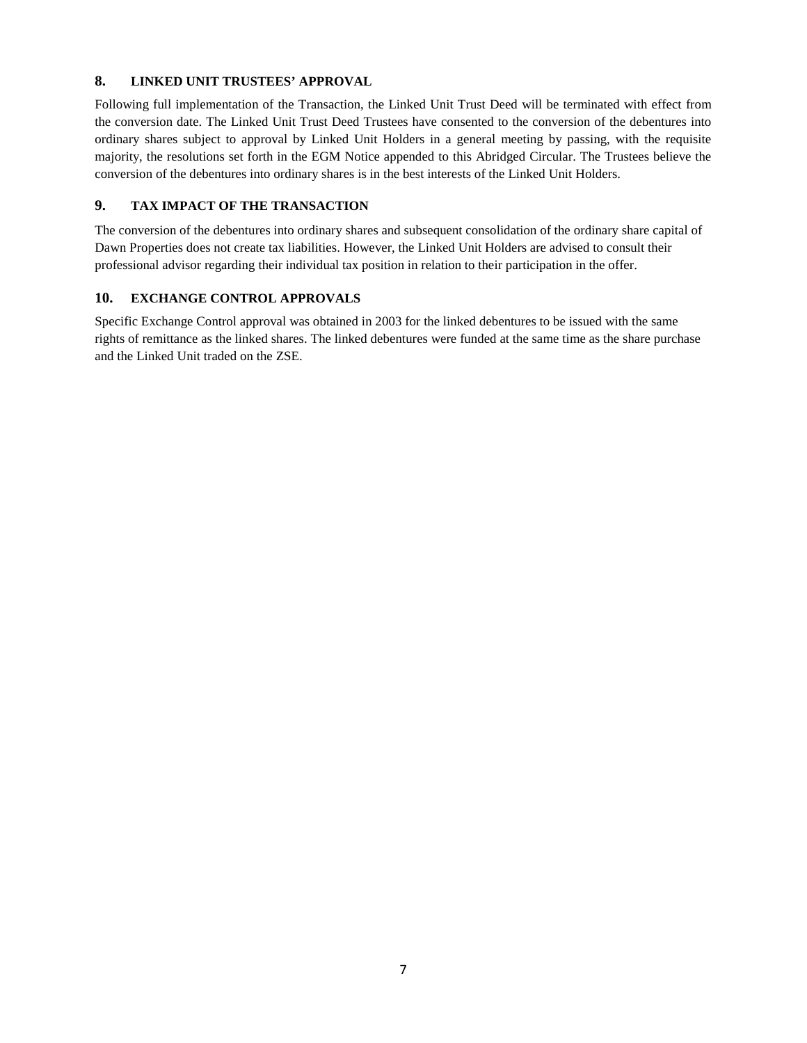### **8. LINKED UNIT TRUSTEES' APPROVAL**

Following full implementation of the Transaction, the Linked Unit Trust Deed will be terminated with effect from the conversion date. The Linked Unit Trust Deed Trustees have consented to the conversion of the debentures into ordinary shares subject to approval by Linked Unit Holders in a general meeting by passing, with the requisite majority, the resolutions set forth in the EGM Notice appended to this Abridged Circular. The Trustees believe the conversion of the debentures into ordinary shares is in the best interests of the Linked Unit Holders.

## **9. TAX IMPACT OF THE TRANSACTION**

The conversion of the debentures into ordinary shares and subsequent consolidation of the ordinary share capital of Dawn Properties does not create tax liabilities. However, the Linked Unit Holders are advised to consult their professional advisor regarding their individual tax position in relation to their participation in the offer.

## **10. EXCHANGE CONTROL APPROVALS**

Specific Exchange Control approval was obtained in 2003 for the linked debentures to be issued with the same rights of remittance as the linked shares. The linked debentures were funded at the same time as the share purchase and the Linked Unit traded on the ZSE.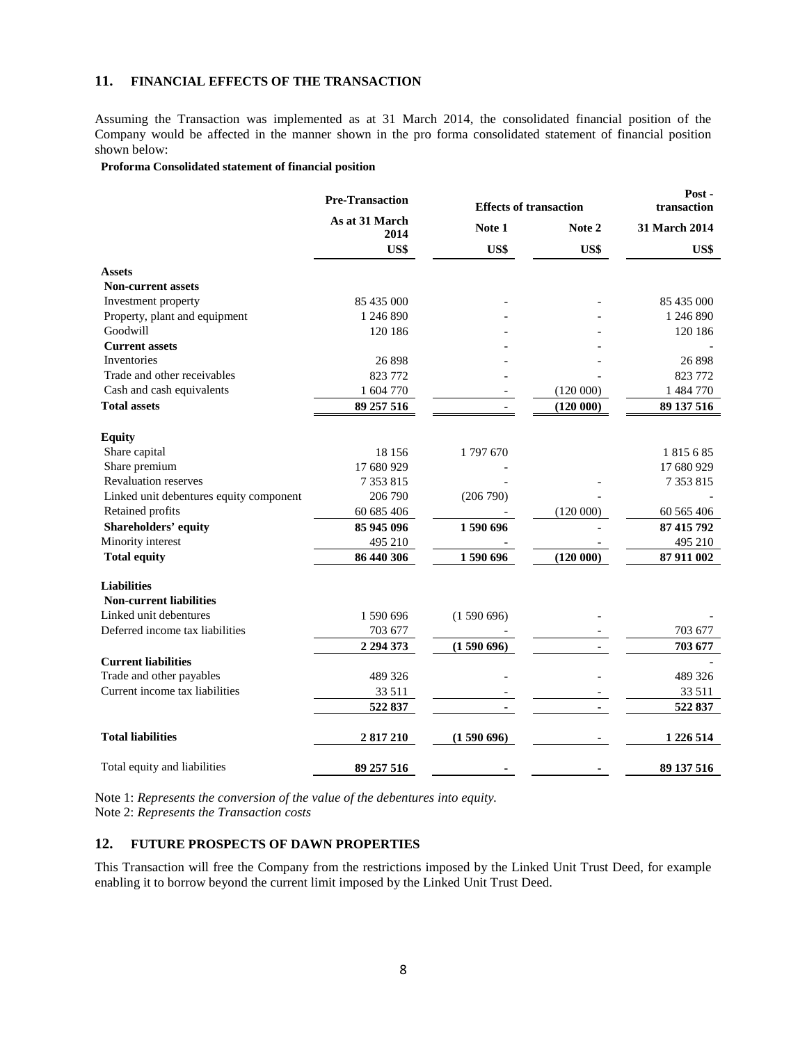## **11. FINANCIAL EFFECTS OF THE TRANSACTION**

Assuming the Transaction was implemented as at 31 March 2014, the consolidated financial position of the Company would be affected in the manner shown in the pro forma consolidated statement of financial position shown below:

#### **Proforma Consolidated statement of financial position**

|                                         | <b>Pre-Transaction</b> |           | <b>Effects of transaction</b> |               |
|-----------------------------------------|------------------------|-----------|-------------------------------|---------------|
|                                         | As at 31 March<br>2014 | Note 1    | Note 2                        | 31 March 2014 |
|                                         | US\$                   | US\$      | US\$                          | US\$          |
| <b>Assets</b>                           |                        |           |                               |               |
| <b>Non-current assets</b>               |                        |           |                               |               |
| Investment property                     | 85 435 000             |           |                               | 85 435 000    |
| Property, plant and equipment           | 1 246 890              |           |                               | 1 246 890     |
| Goodwill                                | 120 186                |           |                               | 120 186       |
| <b>Current assets</b>                   |                        |           |                               |               |
| <b>Inventories</b>                      | 26 898                 |           |                               | 26 898        |
| Trade and other receivables             | 823 772                |           |                               | 823 772       |
| Cash and cash equivalents               | 1 604 770              |           | (120000)                      | 1 484 770     |
| <b>Total assets</b>                     | 89 257 516             |           | (120000)                      | 89 137 516    |
| <b>Equity</b>                           |                        |           |                               |               |
| Share capital                           | 18 15 6                | 1797670   |                               | 1815685       |
| Share premium                           | 17 680 929             |           |                               | 17 680 929    |
| <b>Revaluation reserves</b>             | 7 353 815              |           |                               | 7 3 5 3 8 1 5 |
| Linked unit debentures equity component | 206 790                | (206790)  |                               |               |
| Retained profits                        | 60 685 406             |           | (120000)                      | 60 565 406    |
| Shareholders' equity                    | 85 945 096             | 1590696   |                               | 87 415 792    |
| Minority interest                       | 495 210                |           |                               | 495 210       |
| <b>Total equity</b>                     | 86 440 306             | 1590696   | (120000)                      | 87 911 002    |
| <b>Liabilities</b>                      |                        |           |                               |               |
| <b>Non-current liabilities</b>          |                        |           |                               |               |
| Linked unit debentures                  | 1 590 696              | (1590696) |                               |               |
| Deferred income tax liabilities         | 703 677                |           |                               | 703 677       |
|                                         | 2 294 373              | (1590696) |                               | 703 677       |
| <b>Current liabilities</b>              |                        |           |                               |               |
| Trade and other payables                | 489 326                |           |                               | 489 326       |
| Current income tax liabilities          | 33 511                 |           |                               | 33 511        |
|                                         | 522 837                |           |                               | 522 837       |
| <b>Total liabilities</b>                | 2 817 210              | (1590696) |                               | 1 226 514     |
| Total equity and liabilities            | 89 257 516             |           |                               | 89 137 516    |

Note 1: *Represents the conversion of the value of the debentures into equity.* Note 2: *Represents the Transaction costs*

#### **12. FUTURE PROSPECTS OF DAWN PROPERTIES**

This Transaction will free the Company from the restrictions imposed by the Linked Unit Trust Deed, for example enabling it to borrow beyond the current limit imposed by the Linked Unit Trust Deed.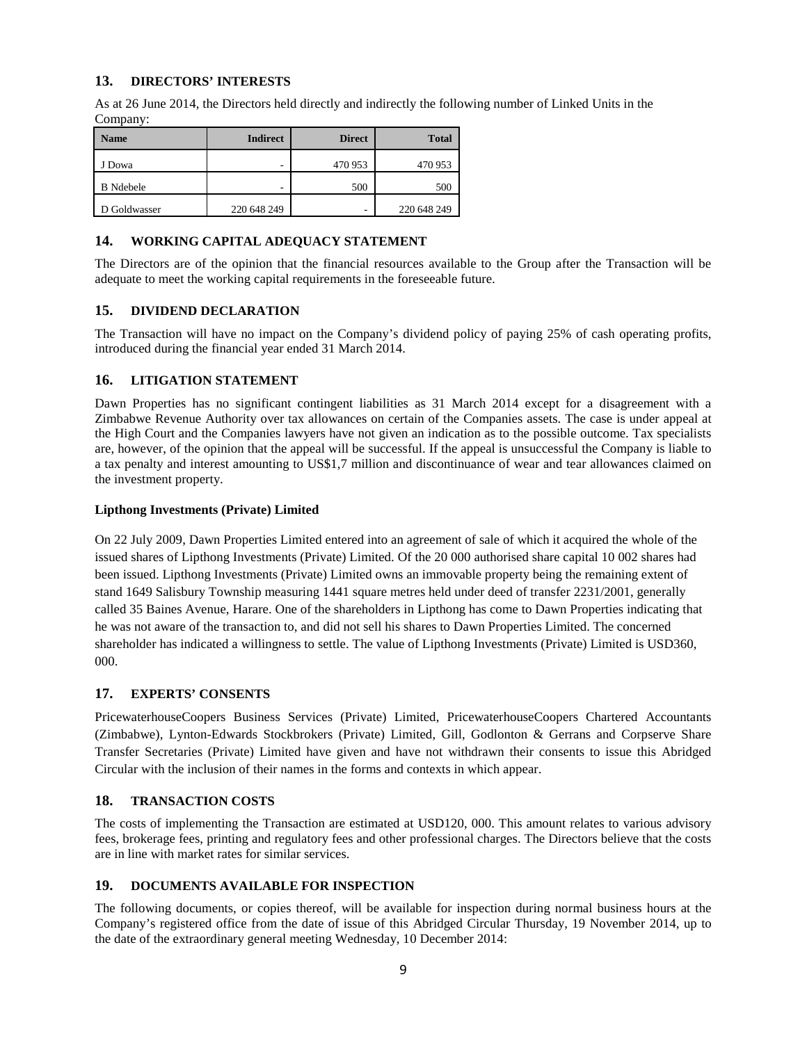### **13. DIRECTORS' INTERESTS**

As at 26 June 2014, the Directors held directly and indirectly the following number of Linked Units in the Company:

| <b>Name</b>      | <b>Indirect</b> | <b>Direct</b> | <b>Total</b> |
|------------------|-----------------|---------------|--------------|
| J Dowa           | -               | 470 953       | 470 953      |
| <b>B</b> Ndebele | -               | 500           | 500          |
| D Goldwasser     | 220 648 249     | ۰             | 220 648 249  |

#### **14. WORKING CAPITAL ADEQUACY STATEMENT**

The Directors are of the opinion that the financial resources available to the Group after the Transaction will be adequate to meet the working capital requirements in the foreseeable future.

#### **15. DIVIDEND DECLARATION**

The Transaction will have no impact on the Company's dividend policy of paying 25% of cash operating profits, introduced during the financial year ended 31 March 2014.

#### **16. LITIGATION STATEMENT**

Dawn Properties has no significant contingent liabilities as 31 March 2014 except for a disagreement with a Zimbabwe Revenue Authority over tax allowances on certain of the Companies assets. The case is under appeal at the High Court and the Companies lawyers have not given an indication as to the possible outcome. Tax specialists are, however, of the opinion that the appeal will be successful. If the appeal is unsuccessful the Company is liable to a tax penalty and interest amounting to US\$1,7 million and discontinuance of wear and tear allowances claimed on the investment property.

#### **Lipthong Investments (Private) Limited**

On 22 July 2009, Dawn Properties Limited entered into an agreement of sale of which it acquired the whole of the issued shares of Lipthong Investments (Private) Limited. Of the 20 000 authorised share capital 10 002 shares had been issued. Lipthong Investments (Private) Limited owns an immovable property being the remaining extent of stand 1649 Salisbury Township measuring 1441 square metres held under deed of transfer 2231/2001, generally called 35 Baines Avenue, Harare. One of the shareholders in Lipthong has come to Dawn Properties indicating that he was not aware of the transaction to, and did not sell his shares to Dawn Properties Limited. The concerned shareholder has indicated a willingness to settle. The value of Lipthong Investments (Private) Limited is USD360, 000.

### **17. EXPERTS' CONSENTS**

PricewaterhouseCoopers Business Services (Private) Limited, PricewaterhouseCoopers Chartered Accountants (Zimbabwe), Lynton-Edwards Stockbrokers (Private) Limited, [Gill, Godlonton & Gerrans](http://www.ggg.co.zw/index.php) and Corpserve Share Transfer Secretaries (Private) Limited have given and have not withdrawn their consents to issue this Abridged Circular with the inclusion of their names in the forms and contexts in which appear.

### **18. TRANSACTION COSTS**

The costs of implementing the Transaction are estimated at USD120, 000. This amount relates to various advisory fees, brokerage fees, printing and regulatory fees and other professional charges. The Directors believe that the costs are in line with market rates for similar services.

#### **19. DOCUMENTS AVAILABLE FOR INSPECTION**

The following documents, or copies thereof, will be available for inspection during normal business hours at the Company's registered office from the date of issue of this Abridged Circular Thursday, 19 November 2014, up to the date of the extraordinary general meeting Wednesday, 10 December 2014: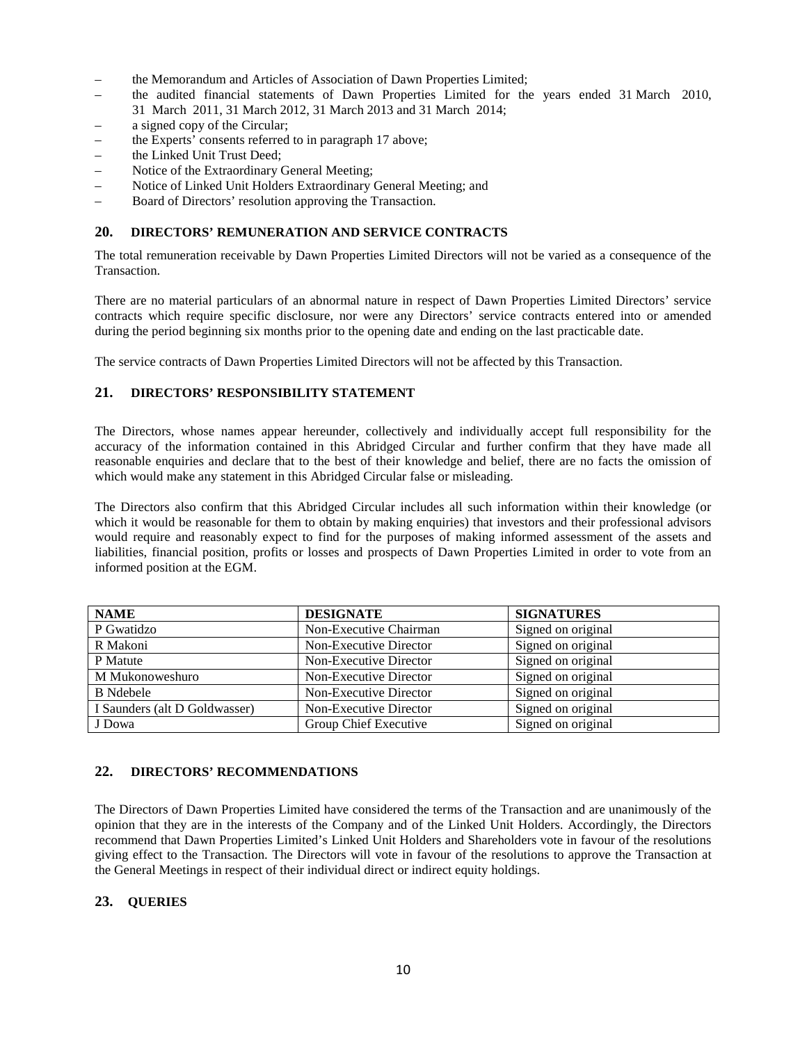- the Memorandum and Articles of Association of Dawn Properties Limited;
- the audited financial statements of Dawn Properties Limited for the years ended 31 March 2010, 31 March 2011, 31 March 2012, 31 March 2013 and 31 March 2014;
- a signed copy of the Circular;
- the Experts' consents referred to in paragraph 17 above;
- the Linked Unit Trust Deed;
- Notice of the Extraordinary General Meeting;
- Notice of Linked Unit Holders Extraordinary General Meeting; and
- Board of Directors' resolution approving the Transaction.

#### **20. DIRECTORS' REMUNERATION AND SERVICE CONTRACTS**

The total remuneration receivable by Dawn Properties Limited Directors will not be varied as a consequence of the Transaction.

There are no material particulars of an abnormal nature in respect of Dawn Properties Limited Directors' service contracts which require specific disclosure, nor were any Directors' service contracts entered into or amended during the period beginning six months prior to the opening date and ending on the last practicable date.

The service contracts of Dawn Properties Limited Directors will not be affected by this Transaction.

### **21. DIRECTORS' RESPONSIBILITY STATEMENT**

The Directors, whose names appear hereunder, collectively and individually accept full responsibility for the accuracy of the information contained in this Abridged Circular and further confirm that they have made all reasonable enquiries and declare that to the best of their knowledge and belief, there are no facts the omission of which would make any statement in this Abridged Circular false or misleading.

The Directors also confirm that this Abridged Circular includes all such information within their knowledge (or which it would be reasonable for them to obtain by making enquiries) that investors and their professional advisors would require and reasonably expect to find for the purposes of making informed assessment of the assets and liabilities, financial position, profits or losses and prospects of Dawn Properties Limited in order to vote from an informed position at the EGM.

| <b>NAME</b>                   | <b>DESIGNATE</b>       | <b>SIGNATURES</b>  |
|-------------------------------|------------------------|--------------------|
| P Gwatidzo                    | Non-Executive Chairman | Signed on original |
| R Makoni                      | Non-Executive Director | Signed on original |
| P Matute                      | Non-Executive Director | Signed on original |
| M Mukonoweshuro               | Non-Executive Director | Signed on original |
| <b>B</b> Ndebele              | Non-Executive Director | Signed on original |
| I Saunders (alt D Goldwasser) | Non-Executive Director | Signed on original |
| J Dowa                        | Group Chief Executive  | Signed on original |

### **22. DIRECTORS' RECOMMENDATIONS**

The Directors of Dawn Properties Limited have considered the terms of the Transaction and are unanimously of the opinion that they are in the interests of the Company and of the Linked Unit Holders. Accordingly, the Directors recommend that Dawn Properties Limited's Linked Unit Holders and Shareholders vote in favour of the resolutions giving effect to the Transaction. The Directors will vote in favour of the resolutions to approve the Transaction at the General Meetings in respect of their individual direct or indirect equity holdings.

### **23. QUERIES**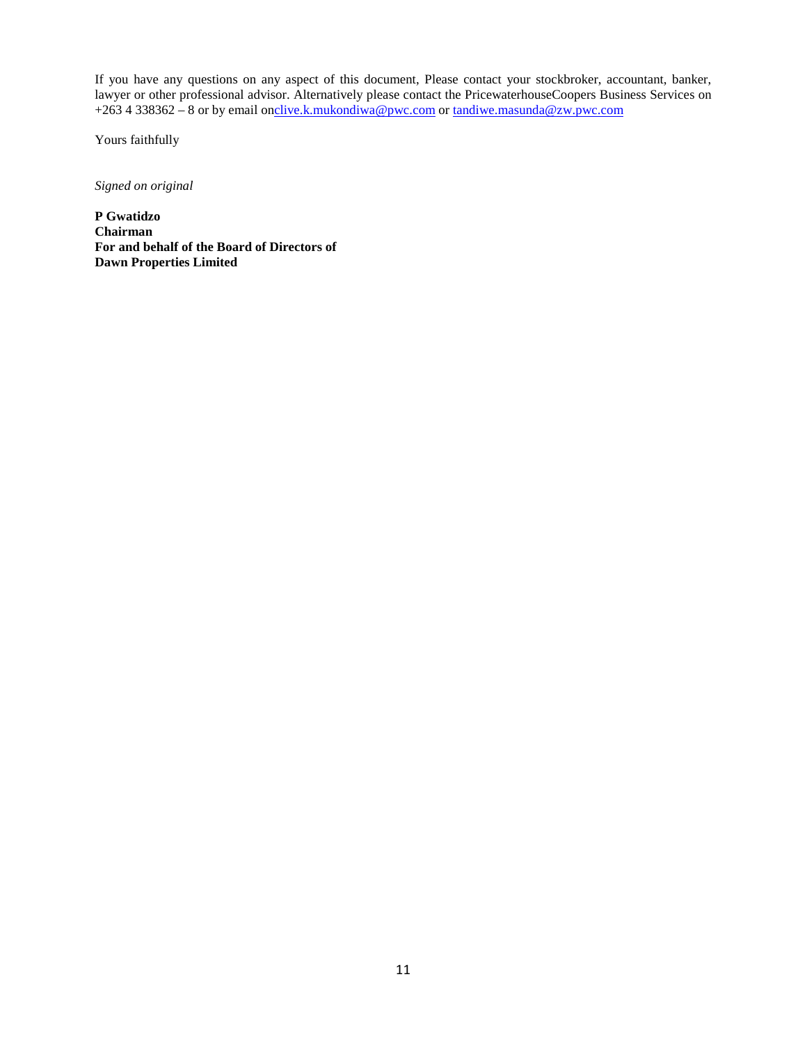If you have any questions on any aspect of this document, Please contact your stockbroker, accountant, banker, lawyer or other professional advisor. Alternatively please contact the PricewaterhouseCoopers Business Services on +2634 338362 – 8 or by email o[nclive.k.mukondiwa@pwc.com](mailto:clive.k.mukondiwa@pwc.com) or [tandiwe.masunda@zw.pwc.com](mailto:tandiwe.masunda@zw.pwc.com)

Yours faithfully

*Signed on original*

**P Gwatidzo Chairman For and behalf of the Board of Directors of Dawn Properties Limited**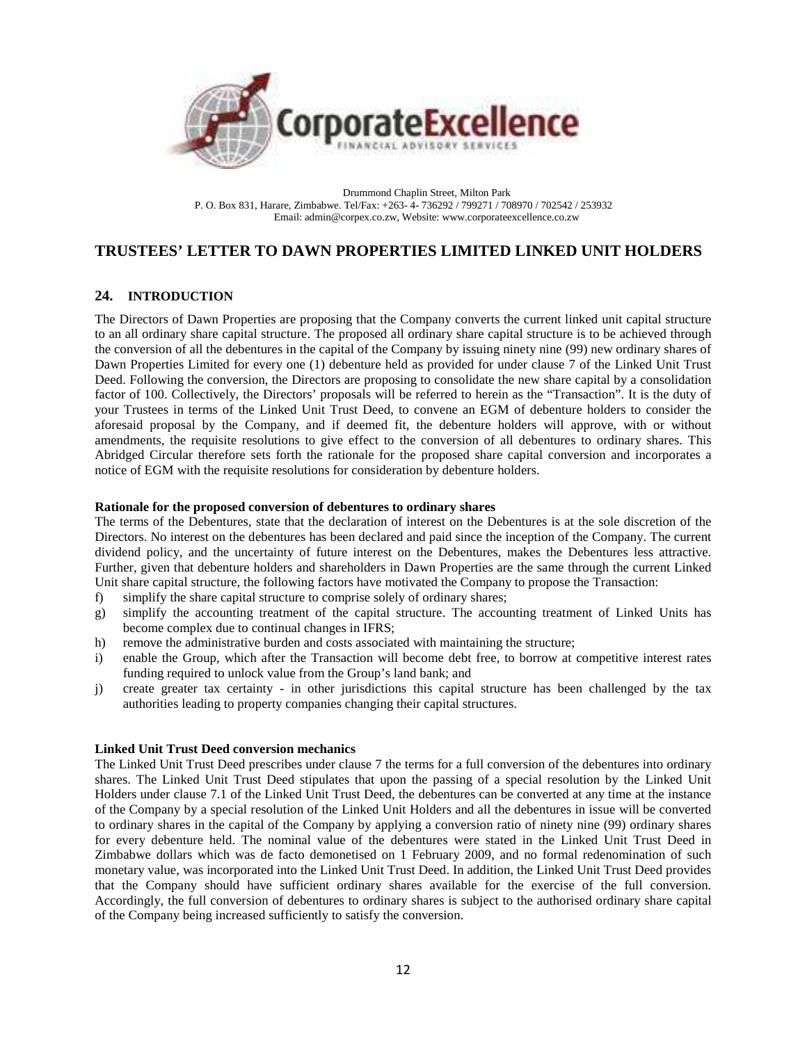

Drummond Chaplin Street, Milton Park P. O. Box 831, Harare, Zimbabwe. Tel/Fax: +263- 4- 736292 / 799271 / 708970 / 702542 / 253932 Email: admin@corpex.co.zw, Website: www.corporateexcellence.co.zw

## **TRUSTEES' LETTER TO DAWN PROPERTIES LIMITED LINKED UNIT HOLDERS**

### **24. INTRODUCTION**

The Directors of Dawn Properties are proposing that the Company converts the current linked unit capital structure to an all ordinary share capital structure. The proposed all ordinary share capital structure is to be achieved through the conversion of all the debentures in the capital of the Company by issuing ninety nine (99) new ordinary shares of Dawn Properties Limited for every one (1) debenture held as provided for under clause 7 of the Linked Unit Trust Deed. Following the conversion, the Directors are proposing to consolidate the new share capital by a consolidation factor of 100. Collectively, the Directors' proposals will be referred to herein as the "Transaction". It is the duty of your Trustees in terms of the Linked Unit Trust Deed, to convene an EGM of debenture holders to consider the aforesaid proposal by the Company, and if deemed fit, the debenture holders will approve, with or without amendments, the requisite resolutions to give effect to the conversion of all debentures to ordinary shares. This Abridged Circular therefore sets forth the rationale for the proposed share capital conversion and incorporates a notice of EGM with the requisite resolutions for consideration by debenture holders.

#### **Rationale for the proposed conversion of debentures to ordinary shares**

The terms of the Debentures, state that the declaration of interest on the Debentures is at the sole discretion of the Directors. No interest on the debentures has been declared and paid since the inception of the Company. The current dividend policy, and the uncertainty of future interest on the Debentures, makes the Debentures less attractive. Further, given that debenture holders and shareholders in Dawn Properties are the same through the current Linked Unit share capital structure, the following factors have motivated the Company to propose the Transaction:

- f) simplify the share capital structure to comprise solely of ordinary shares;
- g) simplify the accounting treatment of the capital structure. The accounting treatment of Linked Units has become complex due to continual changes in IFRS;
- h) remove the administrative burden and costs associated with maintaining the structure;
- i) enable the Group, which after the Transaction will become debt free, to borrow at competitive interest rates funding required to unlock value from the Group's land bank; and
- j) create greater tax certainty in other jurisdictions this capital structure has been challenged by the tax authorities leading to property companies changing their capital structures.

#### **Linked Unit Trust Deed conversion mechanics**

The Linked Unit Trust Deed prescribes under clause 7 the terms for a full conversion of the debentures into ordinary shares. The Linked Unit Trust Deed stipulates that upon the passing of a special resolution by the Linked Unit Holders under clause 7.1 of the Linked Unit Trust Deed, the debentures can be converted at any time at the instance of the Company by a special resolution of the Linked Unit Holders and all the debentures in issue will be converted to ordinary shares in the capital of the Company by applying a conversion ratio of ninety nine (99) ordinary shares for every debenture held. The nominal value of the debentures were stated in the Linked Unit Trust Deed in Zimbabwe dollars which was de facto demonetised on 1 February 2009, and no formal redenomination of such monetary value, was incorporated into the Linked Unit Trust Deed. In addition, the Linked Unit Trust Deed provides that the Company should have sufficient ordinary shares available for the exercise of the full conversion. Accordingly, the full conversion of debentures to ordinary shares is subject to the authorised ordinary share capital of the Company being increased sufficiently to satisfy the conversion.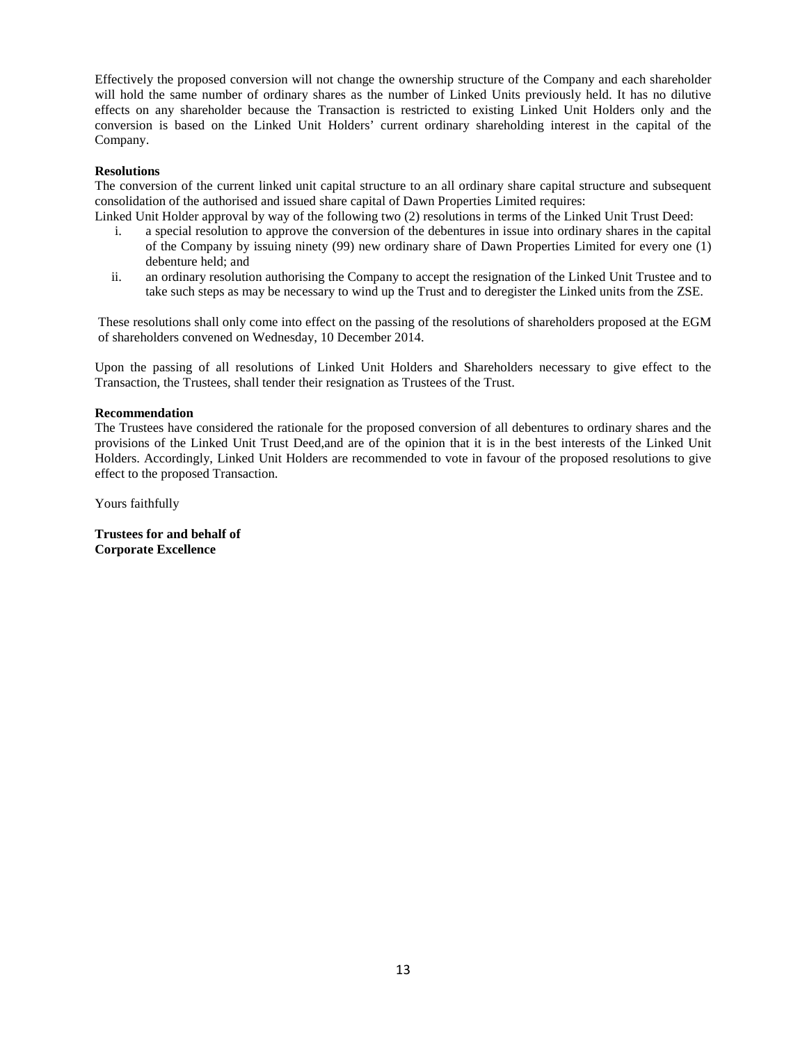Effectively the proposed conversion will not change the ownership structure of the Company and each shareholder will hold the same number of ordinary shares as the number of Linked Units previously held. It has no dilutive effects on any shareholder because the Transaction is restricted to existing Linked Unit Holders only and the conversion is based on the Linked Unit Holders' current ordinary shareholding interest in the capital of the Company.

#### **Resolutions**

The conversion of the current linked unit capital structure to an all ordinary share capital structure and subsequent consolidation of the authorised and issued share capital of Dawn Properties Limited requires:

Linked Unit Holder approval by way of the following two (2) resolutions in terms of the Linked Unit Trust Deed:

- i. a special resolution to approve the conversion of the debentures in issue into ordinary shares in the capital of the Company by issuing ninety (99) new ordinary share of Dawn Properties Limited for every one (1) debenture held; and
- ii. an ordinary resolution authorising the Company to accept the resignation of the Linked Unit Trustee and to take such steps as may be necessary to wind up the Trust and to deregister the Linked units from the ZSE.

These resolutions shall only come into effect on the passing of the resolutions of shareholders proposed at the EGM of shareholders convened on Wednesday, 10 December 2014.

Upon the passing of all resolutions of Linked Unit Holders and Shareholders necessary to give effect to the Transaction, the Trustees, shall tender their resignation as Trustees of the Trust.

#### **Recommendation**

The Trustees have considered the rationale for the proposed conversion of all debentures to ordinary shares and the provisions of the Linked Unit Trust Deed,and are of the opinion that it is in the best interests of the Linked Unit Holders. Accordingly, Linked Unit Holders are recommended to vote in favour of the proposed resolutions to give effect to the proposed Transaction.

Yours faithfully

**Trustees for and behalf of Corporate Excellence**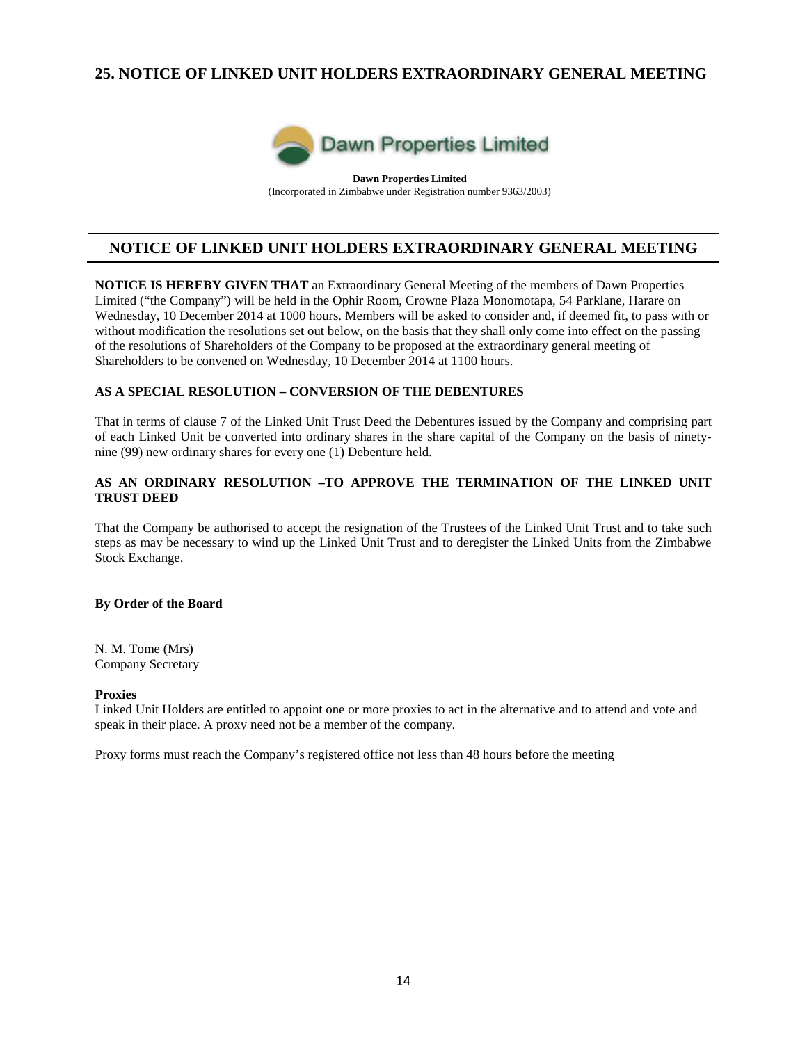## **25. NOTICE OF LINKED UNIT HOLDERS EXTRAORDINARY GENERAL MEETING**



**Dawn Properties Limited** (Incorporated in Zimbabwe under Registration number 9363/2003)

## **NOTICE OF LINKED UNIT HOLDERS EXTRAORDINARY GENERAL MEETING**

**NOTICE IS HEREBY GIVEN THAT** an Extraordinary General Meeting of the members of Dawn Properties Limited ("the Company") will be held in the Ophir Room, Crowne Plaza Monomotapa, 54 Parklane, Harare on Wednesday, 10 December 2014 at 1000 hours. Members will be asked to consider and, if deemed fit, to pass with or without modification the resolutions set out below, on the basis that they shall only come into effect on the passing of the resolutions of Shareholders of the Company to be proposed at the extraordinary general meeting of Shareholders to be convened on Wednesday, 10 December 2014 at 1100 hours.

## **AS A SPECIAL RESOLUTION – CONVERSION OF THE DEBENTURES**

That in terms of clause 7 of the Linked Unit Trust Deed the Debentures issued by the Company and comprising part of each Linked Unit be converted into ordinary shares in the share capital of the Company on the basis of ninetynine (99) new ordinary shares for every one (1) Debenture held.

### **AS AN ORDINARY RESOLUTION –TO APPROVE THE TERMINATION OF THE LINKED UNIT TRUST DEED**

That the Company be authorised to accept the resignation of the Trustees of the Linked Unit Trust and to take such steps as may be necessary to wind up the Linked Unit Trust and to deregister the Linked Units from the Zimbabwe Stock Exchange.

#### **By Order of the Board**

N. M. Tome (Mrs) Company Secretary

#### **Proxies**

Linked Unit Holders are entitled to appoint one or more proxies to act in the alternative and to attend and vote and speak in their place. A proxy need not be a member of the company.

Proxy forms must reach the Company's registered office not less than 48 hours before the meeting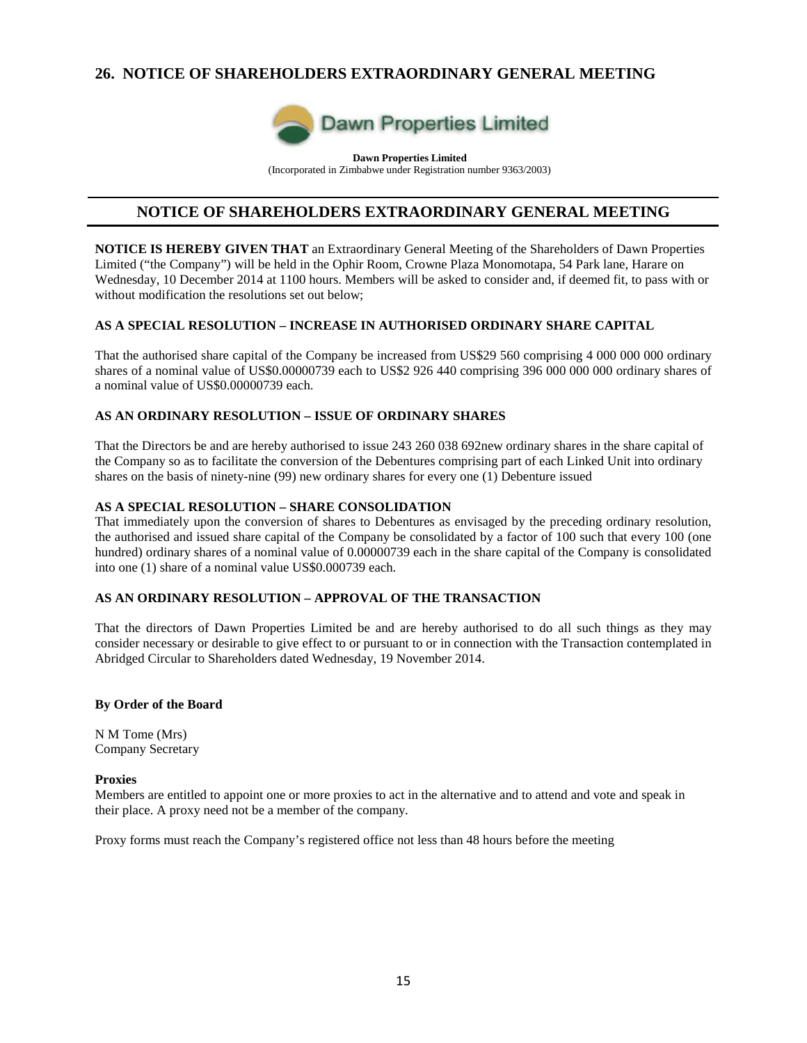## **26. NOTICE OF SHAREHOLDERS EXTRAORDINARY GENERAL MEETING**



**Dawn Properties Limited** (Incorporated in Zimbabwe under Registration number 9363/2003)

## **NOTICE OF SHAREHOLDERS EXTRAORDINARY GENERAL MEETING**

**NOTICE IS HEREBY GIVEN THAT** an Extraordinary General Meeting of the Shareholders of Dawn Properties Limited ("the Company") will be held in the Ophir Room, Crowne Plaza Monomotapa, 54 Park lane, Harare on Wednesday, 10 December 2014 at 1100 hours. Members will be asked to consider and, if deemed fit, to pass with or without modification the resolutions set out below;

## **AS A SPECIAL RESOLUTION – INCREASE IN AUTHORISED ORDINARY SHARE CAPITAL**

That the authorised share capital of the Company be increased from US\$29 560 comprising 4 000 000 000 ordinary shares of a nominal value of US\$0.00000739 each to US\$2 926 440 comprising 396 000 000 000 ordinary shares of a nominal value of US\$0.00000739 each.

## **AS AN ORDINARY RESOLUTION – ISSUE OF ORDINARY SHARES**

That the Directors be and are hereby authorised to issue 243 260 038 692new ordinary shares in the share capital of the Company so as to facilitate the conversion of the Debentures comprising part of each Linked Unit into ordinary shares on the basis of ninety-nine (99) new ordinary shares for every one (1) Debenture issued

### **AS A SPECIAL RESOLUTION – SHARE CONSOLIDATION**

That immediately upon the conversion of shares to Debentures as envisaged by the preceding ordinary resolution, the authorised and issued share capital of the Company be consolidated by a factor of 100 such that every 100 (one hundred) ordinary shares of a nominal value of 0.00000739 each in the share capital of the Company is consolidated into one (1) share of a nominal value US\$0.000739 each.

### **AS AN ORDINARY RESOLUTION – APPROVAL OF THE TRANSACTION**

That the directors of Dawn Properties Limited be and are hereby authorised to do all such things as they may consider necessary or desirable to give effect to or pursuant to or in connection with the Transaction contemplated in Abridged Circular to Shareholders dated Wednesday, 19 November 2014.

#### **By Order of the Board**

N M Tome (Mrs) Company Secretary

#### **Proxies**

Members are entitled to appoint one or more proxies to act in the alternative and to attend and vote and speak in their place. A proxy need not be a member of the company.

Proxy forms must reach the Company's registered office not less than 48 hours before the meeting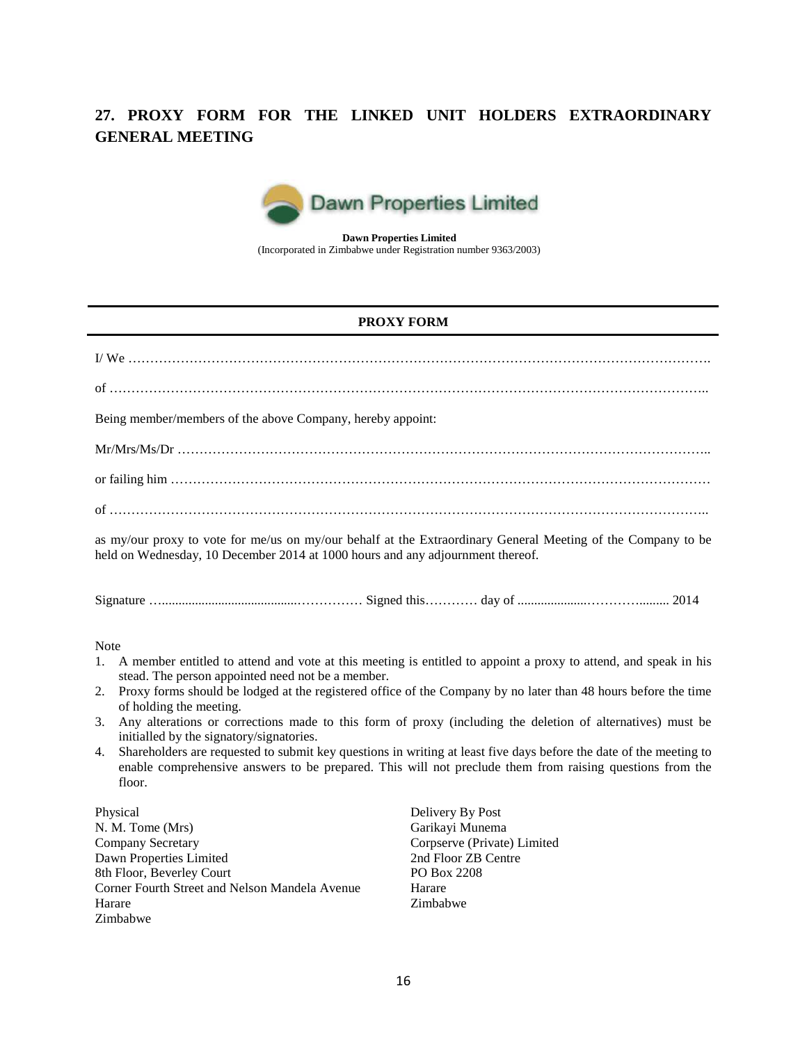# **27. PROXY FORM FOR THE LINKED UNIT HOLDERS EXTRAORDINARY GENERAL MEETING**



**Dawn Properties Limited** (Incorporated in Zimbabwe under Registration number 9363/2003)

## **PROXY FORM**

| Being member/members of the above Company, hereby appoint:                                                                                                                                                                                                                                                                                                                                                                                                                                                                                                                                                                                                                                                                                                     |  |  |  |
|----------------------------------------------------------------------------------------------------------------------------------------------------------------------------------------------------------------------------------------------------------------------------------------------------------------------------------------------------------------------------------------------------------------------------------------------------------------------------------------------------------------------------------------------------------------------------------------------------------------------------------------------------------------------------------------------------------------------------------------------------------------|--|--|--|
|                                                                                                                                                                                                                                                                                                                                                                                                                                                                                                                                                                                                                                                                                                                                                                |  |  |  |
|                                                                                                                                                                                                                                                                                                                                                                                                                                                                                                                                                                                                                                                                                                                                                                |  |  |  |
|                                                                                                                                                                                                                                                                                                                                                                                                                                                                                                                                                                                                                                                                                                                                                                |  |  |  |
| as my/our proxy to vote for me/us on my/our behalf at the Extraordinary General Meeting of the Company to be<br>held on Wednesday, 10 December 2014 at 1000 hours and any adjournment thereof.                                                                                                                                                                                                                                                                                                                                                                                                                                                                                                                                                                 |  |  |  |
|                                                                                                                                                                                                                                                                                                                                                                                                                                                                                                                                                                                                                                                                                                                                                                |  |  |  |
| <b>Note</b><br>A member entitled to attend and vote at this meeting is entitled to appoint a proxy to attend, and speak in his<br>1.<br>stead. The person appointed need not be a member.<br>Proxy forms should be lodged at the registered office of the Company by no later than 48 hours before the time<br>2.<br>of holding the meeting.<br>Any alterations or corrections made to this form of proxy (including the deletion of alternatives) must be<br>3.<br>initialled by the signatory/signatories.<br>Shareholders are requested to submit key questions in writing at least five days before the date of the meeting to<br>4.<br>enable comprehensive answers to be prepared. This will not preclude them from raising questions from the<br>floor. |  |  |  |
| Physical<br>Delivery By Post<br>Garikayi Munema<br>N. M. Tome (Mrs)<br>Company Secretary<br>Corpserve (Private) Limited<br>2nd Floor ZB Centre<br>Dawn Properties Limited<br>8th Floor, Beverley Court<br>PO Box 2208<br>Corner Fourth Street and Nelson Mandela Avenue<br>Harare<br>Harare<br>Zimbabwe<br>Zimbabwe                                                                                                                                                                                                                                                                                                                                                                                                                                            |  |  |  |